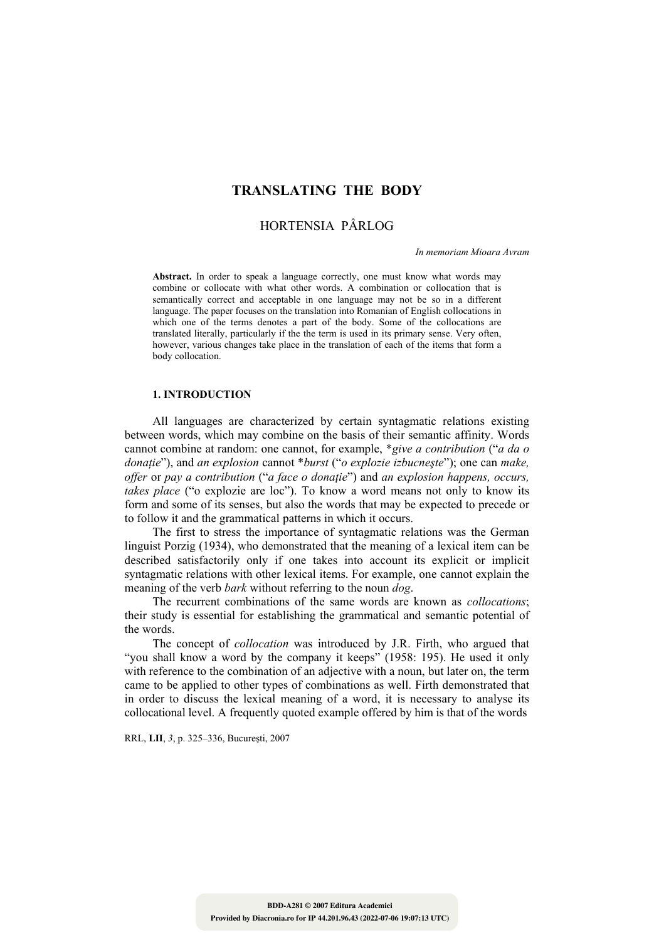# **TRANSLATING THE BODY**

# HORTENSIA PÂRLOG

*In memoriam Mioara Avram* 

Abstract. In order to speak a language correctly, one must know what words may combine or collocate with what other words. A combination or collocation that is semantically correct and acceptable in one language may not be so in a different language. The paper focuses on the translation into Romanian of English collocations in which one of the terms denotes a part of the body. Some of the collocations are translated literally, particularly if the term is used in its primary sense. Very often, however, various changes take place in the translation of each of the items that form a body collocation.

#### **1. INTRODUCTION**

All languages are characterized by certain syntagmatic relations existing between words, which may combine on the basis of their semantic affinity. Words cannot combine at random: one cannot, for example, \**give a contribution* ("*a da o donaţie*"), and *an explosion* cannot \**burst* ("*o explozie izbucneşte*"); one can *make, offer* or *pay a contribution* ("*a face o donaţie*") and *an explosion happens, occurs, takes place* ("o explozie are loc"). To know a word means not only to know its form and some of its senses, but also the words that may be expected to precede or to follow it and the grammatical patterns in which it occurs.

The first to stress the importance of syntagmatic relations was the German linguist Porzig (1934), who demonstrated that the meaning of a lexical item can be described satisfactorily only if one takes into account its explicit or implicit syntagmatic relations with other lexical items. For example, one cannot explain the meaning of the verb *bark* without referring to the noun *dog*.

The recurrent combinations of the same words are known as *collocations*; their study is essential for establishing the grammatical and semantic potential of the words.

 The concept of *collocation* was introduced by J.R. Firth, who argued that "you shall know a word by the company it keeps" (1958: 195). He used it only with reference to the combination of an adjective with a noun, but later on, the term came to be applied to other types of combinations as well. Firth demonstrated that in order to discuss the lexical meaning of a word, it is necessary to analyse its collocational level. A frequently quoted example offered by him is that of the words

RRL, **LII**, *3*, p. 325–336, Bucureşti, 2007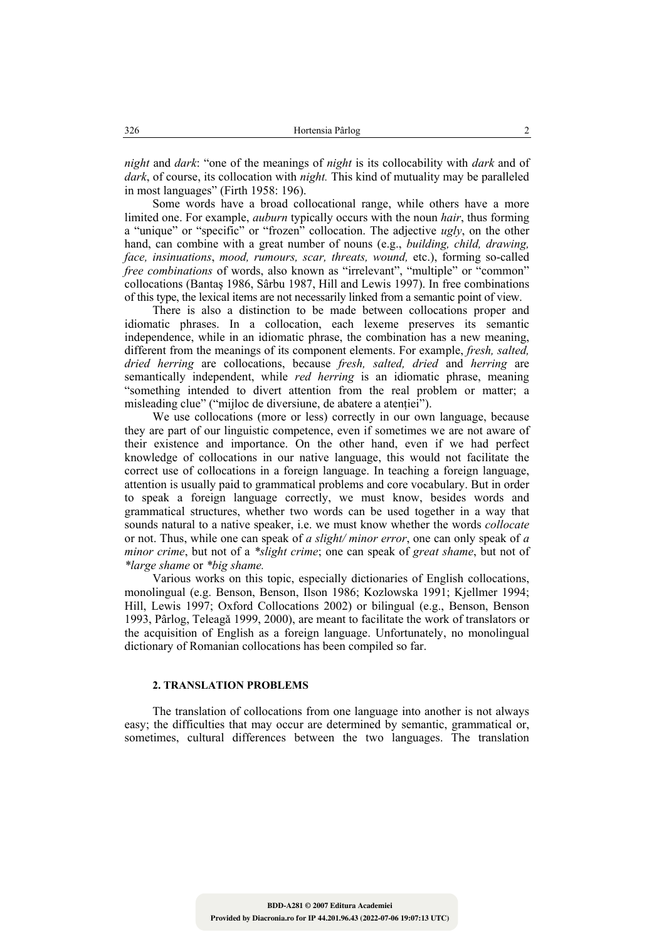*night* and *dark*: "one of the meanings of *night* is its collocability with *dark* and of *dark*, of course, its collocation with *night.* This kind of mutuality may be paralleled in most languages" (Firth 1958: 196).

Some words have a broad collocational range, while others have a more limited one. For example, *auburn* typically occurs with the noun *hair*, thus forming a "unique" or "specific" or "frozen" collocation. The adjective *ugly*, on the other hand, can combine with a great number of nouns (e.g., *building, child, drawing, face, insinuations*, *mood, rumours, scar, threats, wound,* etc.), forming so-called *free combinations* of words, also known as "irrelevant", "multiple" or "common" collocations (Bantaş 1986, Sârbu 1987, Hill and Lewis 1997). In free combinations of this type, the lexical items are not necessarily linked from a semantic point of view.

 There is also a distinction to be made between collocations proper and idiomatic phrases. In a collocation, each lexeme preserves its semantic independence, while in an idiomatic phrase, the combination has a new meaning, different from the meanings of its component elements. For example, *fresh, salted, dried herring* are collocations, because *fresh, salted, dried* and *herring* are semantically independent, while *red herring* is an idiomatic phrase, meaning "something intended to divert attention from the real problem or matter; a misleading clue" ("mijloc de diversiune, de abatere a atentiei").

 We use collocations (more or less) correctly in our own language, because they are part of our linguistic competence, even if sometimes we are not aware of their existence and importance. On the other hand, even if we had perfect knowledge of collocations in our native language, this would not facilitate the correct use of collocations in a foreign language. In teaching a foreign language, attention is usually paid to grammatical problems and core vocabulary. But in order to speak a foreign language correctly, we must know, besides words and grammatical structures, whether two words can be used together in a way that sounds natural to a native speaker, i.e. we must know whether the words *collocate* or not. Thus, while one can speak of *a slight/ minor error*, one can only speak of *a minor crime*, but not of a *\*slight crime*; one can speak of *great shame*, but not of *\*large shame* or *\*big shame.*

 Various works on this topic, especially dictionaries of English collocations, monolingual (e.g. Benson, Benson, Ilson 1986; Kozlowska 1991; Kjellmer 1994; Hill, Lewis 1997; Oxford Collocations 2002) or bilingual (e.g., Benson, Benson 1993, Pârlog, Teleagǎ 1999, 2000), are meant to facilitate the work of translators or the acquisition of English as a foreign language. Unfortunately, no monolingual dictionary of Romanian collocations has been compiled so far.

### **2. TRANSLATION PROBLEMS**

The translation of collocations from one language into another is not always easy; the difficulties that may occur are determined by semantic, grammatical or, sometimes, cultural differences between the two languages. The translation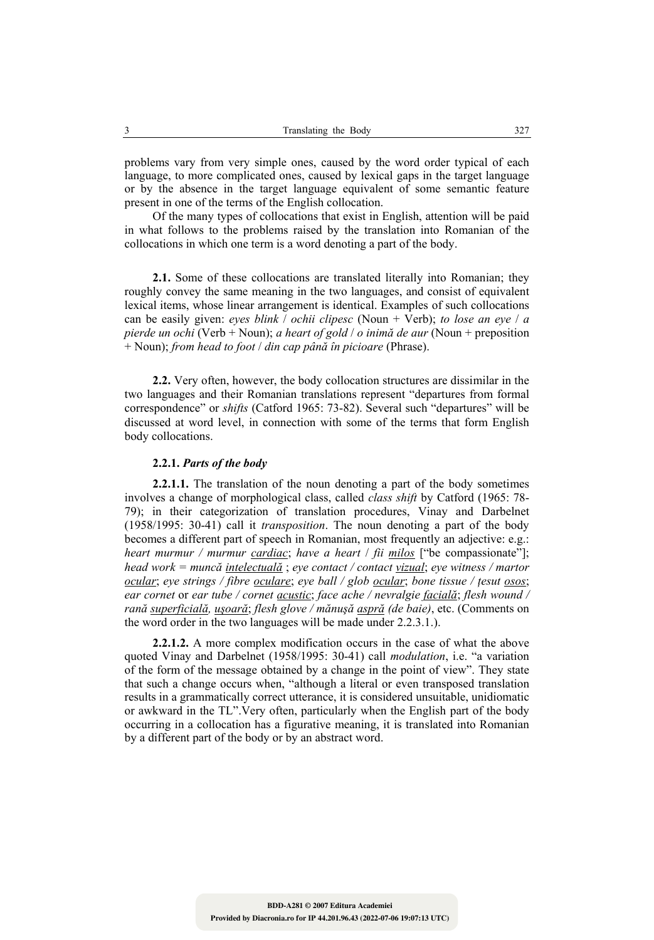problems vary from very simple ones, caused by the word order typical of each language, to more complicated ones, caused by lexical gaps in the target language or by the absence in the target language equivalent of some semantic feature present in one of the terms of the English collocation.

Of the many types of collocations that exist in English, attention will be paid in what follows to the problems raised by the translation into Romanian of the collocations in which one term is a word denoting a part of the body.

**2.1.** Some of these collocations are translated literally into Romanian; they roughly convey the same meaning in the two languages, and consist of equivalent lexical items, whose linear arrangement is identical. Examples of such collocations can be easily given: *eyes blink* / *ochii clipesc* (Noun + Verb); *to lose an eye* / *a pierde un ochi* (Verb + Noun); *a heart of gold* / *o inimă de aur* (Noun + preposition + Noun); *from head to foot* / *din cap până în picioare* (Phrase).

**2.2.** Very often, however, the body collocation structures are dissimilar in the two languages and their Romanian translations represent "departures from formal correspondence" or *shifts* (Catford 1965: 73-82). Several such "departures" will be discussed at word level, in connection with some of the terms that form English body collocations.

#### **2.2.1.** *Parts of the body*

**2.2.1.1.** The translation of the noun denoting a part of the body sometimes involves a change of morphological class, called *class shift* by Catford (1965: 78- 79); in their categorization of translation procedures, Vinay and Darbelnet (1958/1995: 30-41) call it *transposition*. The noun denoting a part of the body becomes a different part of speech in Romanian, most frequently an adjective: e.g.: *heart murmur / murmur cardiac*; *have a heart* / *fii milos* ["be compassionate"]; *head work = muncă intelectuală* ; *eye contact / contact vizual*; *eye witness / martor ocular*; *eye strings / fibre oculare*; *eye ball / glob ocular*; *bone tissue / ţesut osos*; *ear cornet* or *ear tube / cornet acustic*; *face ache / nevralgie facială*; *flesh wound / rană superficială, uşoară*; *flesh glove / mănuşă aspră (de baie)*, etc. (Comments on the word order in the two languages will be made under 2.2.3.1.).

**2.2.1.2.** A more complex modification occurs in the case of what the above quoted Vinay and Darbelnet (1958/1995: 30-41) call *modulation*, i.e. "a variation of the form of the message obtained by a change in the point of view". They state that such a change occurs when, "although a literal or even transposed translation results in a grammatically correct utterance, it is considered unsuitable, unidiomatic or awkward in the TL".Very often, particularly when the English part of the body occurring in a collocation has a figurative meaning, it is translated into Romanian by a different part of the body or by an abstract word.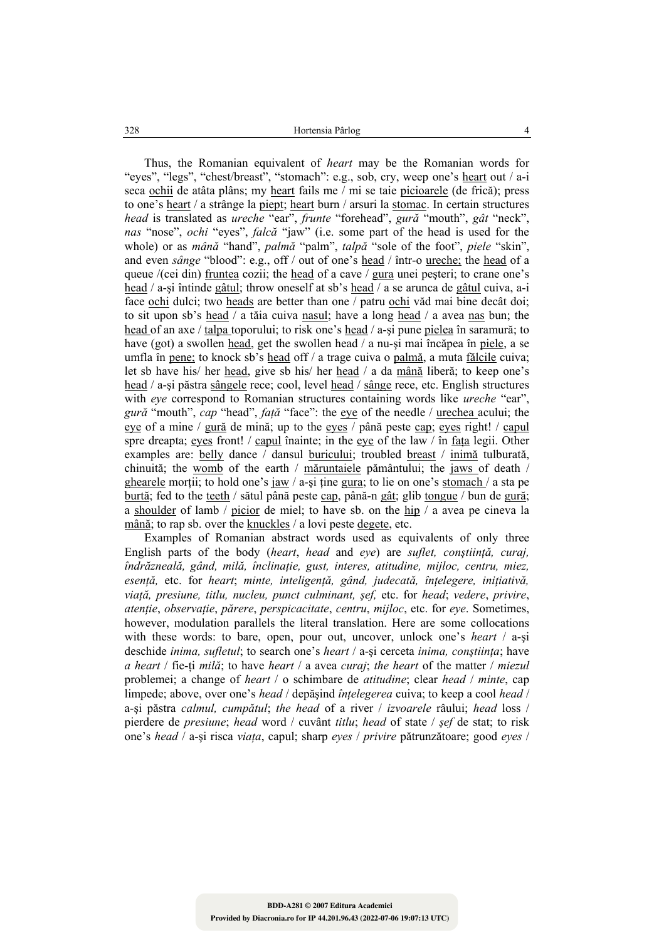Thus, the Romanian equivalent of *heart* may be the Romanian words for "eyes", "legs", "chest/breast", "stomach": e.g., sob, cry, weep one's heart out / a-i seca ochii de atâta plâns; my heart fails me / mi se taie picioarele (de frică); press to one's heart / a strânge la piept; heart burn / arsuri la stomac. In certain structures *head* is translated as *ureche* "ear", *frunte* "forehead", *gură* "mouth", *gât* "neck", *nas* "nose", *ochi* "eyes", *falcă* "jaw" (i.e. some part of the head is used for the whole) or as *mână* "hand", *palmă* "palm", *talpă* "sole of the foot", *piele* "skin", and even *sânge* "blood": e.g., off / out of one's head / într-o ureche; the head of a queue /(cei din) fruntea cozii; the head of a cave / gura unei pesteri; to crane one's head / a-si întinde gâtul; throw oneself at sb's head / a se arunca de gâtul cuiva, a-i face ochi dulci; two heads are better than one / patru ochi văd mai bine decât doi; to sit upon sb's head / a tăia cuiva nasul; have a long head / a avea nas bun; the head of an axe / talpa toporului; to risk one's head / a-şi pune pielea în saramură; to have (got) a swollen head, get the swollen head / a nu-si mai încăpea în piele, a se umfla în pene; to knock sb's head off / a trage cuiva o palmă, a muta fălcile cuiva; let sb have his/ her head, give sb his/ her head / a da mână liberă; to keep one's head / a-şi păstra sângele rece; cool, level head / sânge rece, etc. English structures with *eye* correspond to Romanian structures containing words like *ureche* "ear", *gură* "mouth", *cap* "head", *faţă* "face": the eye of the needle / urechea acului; the eye of a mine / gură de mină; up to the eyes / până peste cap; eyes right! / capul spre dreapta; eyes front! / capul înainte; in the eye of the law / în fața legii. Other examples are: belly dance / dansul buricului; troubled breast / inimă tulburată, chinuită; the womb of the earth / măruntaiele pământului; the jaws of death / ghearele morții; to hold one's jaw / a-și ține gura; to lie on one's stomach / a sta pe burtă; fed to the teeth / sătul până peste cap, până-n gât; glib tongue / bun de gură; a shoulder of lamb / picior de miel; to have sb. on the hip / a avea pe cineva la mână; to rap sb. over the knuckles / a lovi peste degete, etc.

Examples of Romanian abstract words used as equivalents of only three English parts of the body (*heart*, *head* and *eye*) are *suflet, conştiinţă, curaj, îndrăzneală, gând, milă, înclinaţie, gust, interes, atitudine, mijloc, centru, miez, esenţă,* etc. for *heart*; *minte, inteligenţă, gând, judecată, înţelegere, iniţiativă, viaţă, presiune, titlu, nucleu, punct culminant, şef,* etc. for *head*; *vedere*, *privire*, *atenţie*, *observaţie*, *părere*, *perspicacitate*, *centru*, *mijloc*, etc. for *eye*. Sometimes, however, modulation parallels the literal translation. Here are some collocations with these words: to bare, open, pour out, uncover, unlock one's *heart* / a-şi deschide *inima, sufletul*; to search one's *heart* / a-si cerceta *inima, constiinta*; have *a heart* / fie-ţi *milă*; to have *heart* / a avea *curaj*; *the heart* of the matter / *miezul* problemei; a change of *heart* / o schimbare de *atitudine*; clear *head* / *minte*, cap limpede; above, over one's *head* / depăşind *înţelegerea* cuiva; to keep a cool *head* / a-şi păstra *calmul, cumpătul*; *the head* of a river / *izvoarele* râului; *head* loss / pierdere de *presiune*; *head* word / cuvânt *titlu*; *head* of state / *şef* de stat; to risk one's *head* / a-şi risca *viaţa*, capul; sharp *eyes* / *privire* pătrunzătoare; good *eyes* /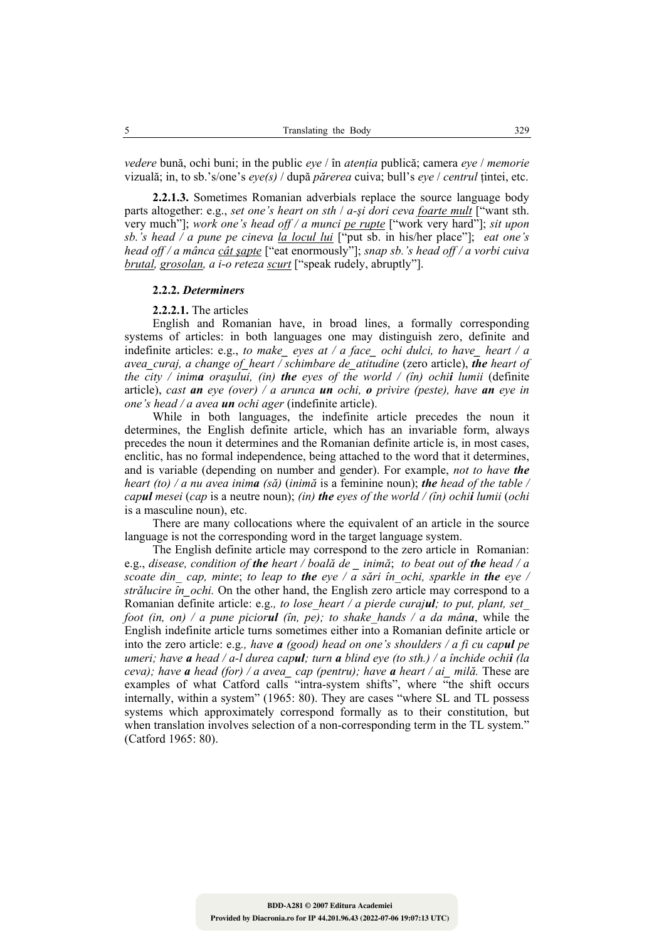*vedere* bună, ochi buni; in the public *eye* / în *atenţia* publică; camera *eye* / *memorie* vizuală; in, to sb.'s/one's *eye(s)* / după *părerea* cuiva; bull's *eye* / *centrul* ţintei, etc.

**2.2.1.3.** Sometimes Romanian adverbials replace the source language body parts altogether: e.g., *set one's heart on sth* / *a-şi dori ceva foarte mult* ["want sth. very much"]; *work one's head off / a munci pe rupte* ["work very hard"]; *sit upon sb.'s head / a pune pe cineva la locul lui* ["put sb. in his/her place"]; *eat one's head off / a mânca cât şapte* ["eat enormously"]; *snap sb.'s head off / a vorbi cuiva brutal, grosolan, a i-o reteza scurt* ["speak rudely, abruptly"].

#### **2.2.2.** *Determiners*

**2.2.2.1.** The articles

English and Romanian have, in broad lines, a formally corresponding systems of articles: in both languages one may distinguish zero, definite and indefinite articles: e.g., *to make\_ eyes at / a face\_ ochi dulci, to have\_ heart / a avea\_curaj, a change of\_heart / schimbare de\_atitudine* (zero article), *the heart of the city / inima oraşului, (in) the eyes of the world / (în) ochii lumii* (definite article), *cast an eye (over) / a arunca un ochi, o privire (peste), have an eye in one's head / a avea un ochi ager* (indefinite article).

While in both languages, the indefinite article precedes the noun it determines, the English definite article, which has an invariable form, always precedes the noun it determines and the Romanian definite article is, in most cases, enclitic, has no formal independence, being attached to the word that it determines, and is variable (depending on number and gender). For example, *not to have the heart (to) / a nu avea inima (să)* (*inimă* is a feminine noun); *the head of the table / capul mesei* (*cap* is a neutre noun); *(in) the eyes of the world / (în) ochii lumii* (*ochi* is a masculine noun), etc.

There are many collocations where the equivalent of an article in the source language is not the corresponding word in the target language system.

The English definite article may correspond to the zero article in Romanian: e.g., *disease, condition of the heart / boală de \_ inimă*; *to beat out of the head / a scoate din\_ cap, minte*; *to leap to the eye / a sări în\_ochi, sparkle in the eye / strălucire în\_ochi.* On the other hand, the English zero article may correspond to a Romanian definite article: e.g.*, to lose\_heart / a pierde curajul; to put, plant, set\_ foot (in, on) / a pune piciorul (în, pe); to shake\_hands / a da mâna*, while the English indefinite article turns sometimes either into a Romanian definite article or into the zero article: e.g*., have a (good) head on one's shoulders / a fi cu capul pe umeri; have a head / a-l durea capul; turn a blind eye (to sth.) / a închide ochii (la ceva); have a head (for) / a avea\_ cap (pentru); have a heart / ai\_ milă.* These are examples of what Catford calls "intra-system shifts", where "the shift occurs internally, within a system" (1965: 80). They are cases "where SL and TL possess systems which approximately correspond formally as to their constitution, but when translation involves selection of a non-corresponding term in the TL system." (Catford 1965: 80).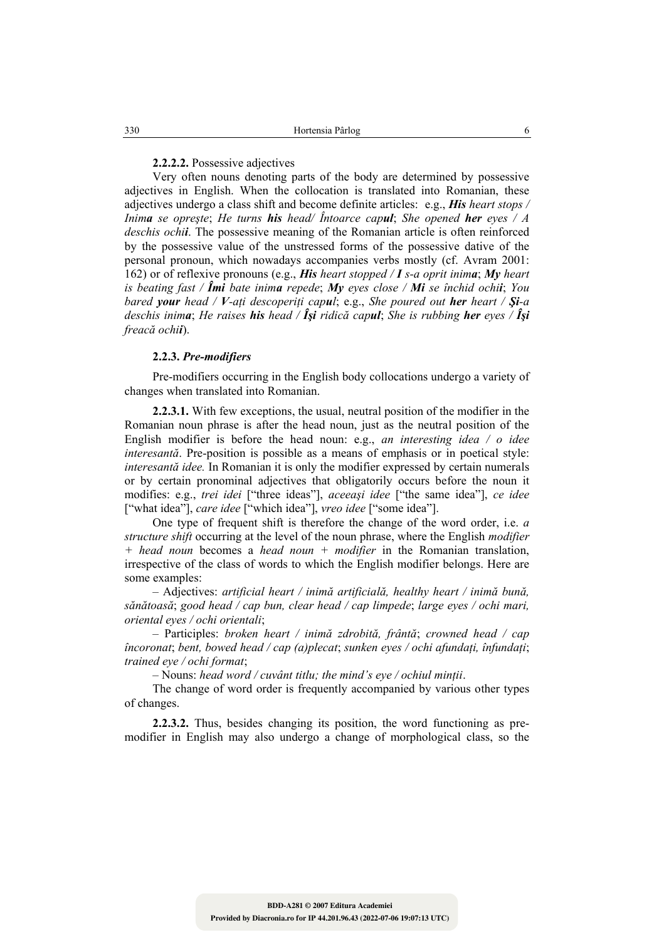## **2.2.2.2.** Possessive adjectives

Very often nouns denoting parts of the body are determined by possessive adjectives in English. When the collocation is translated into Romanian, these adjectives undergo a class shift and become definite articles: e.g., *His heart stops / Inima se opreşte*; *He turns his head/ Întoarce capul*; *She opened her eyes / A deschis ochii*. The possessive meaning of the Romanian article is often reinforced by the possessive value of the unstressed forms of the possessive dative of the personal pronoun, which nowadays accompanies verbs mostly (cf. Avram 2001: 162) or of reflexive pronouns (e.g., *His heart stopped / I s-a oprit inima*; *My heart is beating fast / Îmi bate inima repede*; *My eyes close / Mi se închid ochii*; *You bared your head / V-aţi descoperiţi capul*; e.g., *She poured out her heart / Şi-a deschis inima*; *He raises his head / Îşi ridică capul*; *She is rubbing her eyes / Îşi freacă ochii*).

#### **2.2.3.** *Pre-modifiers*

Pre-modifiers occurring in the English body collocations undergo a variety of changes when translated into Romanian.

**2.2.3.1.** With few exceptions, the usual, neutral position of the modifier in the Romanian noun phrase is after the head noun, just as the neutral position of the English modifier is before the head noun: e.g., *an interesting idea / o idee interesantă*. Pre-position is possible as a means of emphasis or in poetical style: *interesantă idee.* In Romanian it is only the modifier expressed by certain numerals or by certain pronominal adjectives that obligatorily occurs before the noun it modifies: e.g., *trei idei* ["three ideas"], *aceeaşi idee* ["the same idea"], *ce idee* ["what idea"], *care idee* ["which idea"], *vreo idee* ["some idea"].

One type of frequent shift is therefore the change of the word order, i.e. *a structure shift* occurring at the level of the noun phrase, where the English *modifier + head noun* becomes a *head noun + modifier* in the Romanian translation, irrespective of the class of words to which the English modifier belongs. Here are some examples:

 – Adjectives: *artificial heart / inimă artificială, healthy heart / inimă bună, sănătoasă*; *good head / cap bun, clear head / cap limpede*; *large eyes / ochi mari, oriental eyes / ochi orientali*;

 – Participles: *broken heart / inimă zdrobită, frântă*; *crowned head / cap încoronat*; *bent, bowed head / cap (a)plecat*; *sunken eyes / ochi afundaţi, înfundaţi*; *trained eye / ochi format*;

– Nouns: *head word / cuvânt titlu; the mind's eye / ochiul minţii*.

The change of word order is frequently accompanied by various other types of changes.

**2.2.3.2.** Thus, besides changing its position, the word functioning as premodifier in English may also undergo a change of morphological class, so the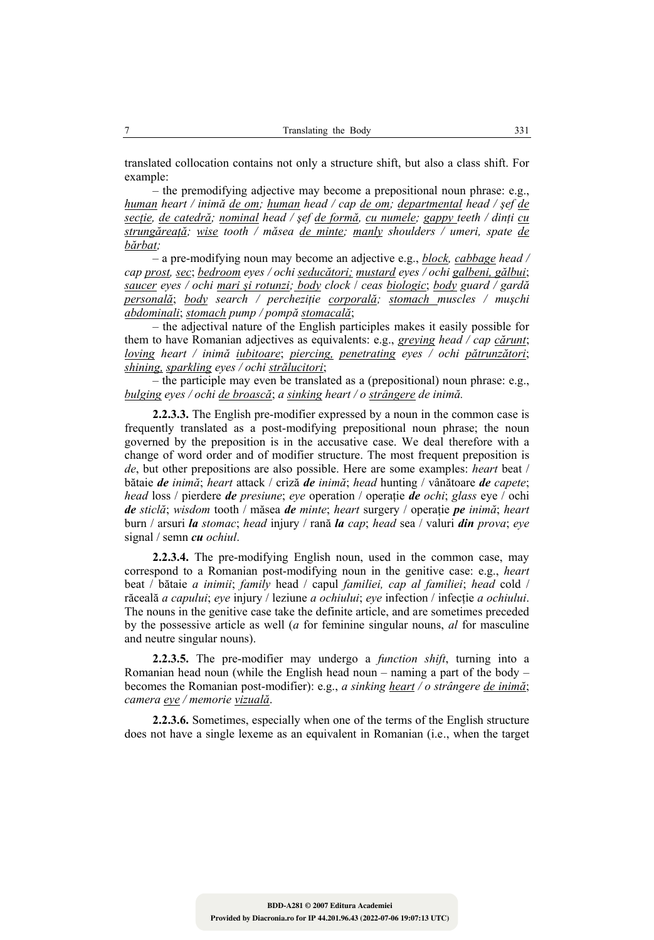translated collocation contains not only a structure shift, but also a class shift. For example:

 – the premodifying adjective may become a prepositional noun phrase: e.g., *human heart / inimă de om; human head / cap de om; departmental head / şef de secţie, de catedră; nominal head / şef de formă, cu numele; gappy teeth / dinţi cu strungăreaţă; wise tooth / măsea de minte; manly shoulders / umeri, spate de bărbat;* 

 – a pre-modifying noun may become an adjective e.g., *block, cabbage head / cap prost, sec*; *bedroom eyes / ochi seducători; mustard eyes / ochi galbeni, gălbui*; *saucer eyes / ochi mari şi rotunzi; body clock* / *ceas biologic*; *body guard / gardă personală*; *body search / percheziţie corporală; stomach muscles / muşchi abdominali*; *stomach pump / pompă stomacală*;

 – the adjectival nature of the English participles makes it easily possible for them to have Romanian adjectives as equivalents: e.g., *greying head / cap cărunt*; *loving heart / inimă iubitoare*; *piercing, penetrating eyes / ochi pătrunzători*; *shining, sparkling eyes / ochi strălucitori*;

 – the participle may even be translated as a (prepositional) noun phrase: e.g., *bulging eyes / ochi de broască*; *a sinking heart / o strângere de inimă.*

**2.2.3.3.** The English pre-modifier expressed by a noun in the common case is frequently translated as a post-modifying prepositional noun phrase; the noun governed by the preposition is in the accusative case. We deal therefore with a change of word order and of modifier structure. The most frequent preposition is *de*, but other prepositions are also possible. Here are some examples: *heart* beat / bătaie *de inimă*; *heart* attack / criză *de inimă*; *head* hunting / vânătoare *de capete*; *head* loss / pierdere *de presiune*; *eye* operation / operaţie *de ochi*; *glass* eye / ochi *de sticlă*; *wisdom* tooth / măsea *de minte*; *heart* surgery / operaţie *pe inimă*; *heart*  burn / arsuri *la stomac*; *head* injury / rană *la cap*; *head* sea / valuri *din prova*; *eye*  signal / semn *cu ochiul*.

**2.2.3.4.** The pre-modifying English noun, used in the common case, may correspond to a Romanian post-modifying noun in the genitive case: e.g., *heart*  beat / bătaie *a inimii*; *family* head / capul *familiei, cap al familiei*; *head* cold / răceală *a capului*; *eye* injury / leziune *a ochiului*; *eye* infection / infecţie *a ochiului*. The nouns in the genitive case take the definite article, and are sometimes preceded by the possessive article as well (*a* for feminine singular nouns, *al* for masculine and neutre singular nouns).

**2.2.3.5.** The pre-modifier may undergo a *function shift*, turning into a Romanian head noun (while the English head noun – naming a part of the body – becomes the Romanian post-modifier): e.g., *a sinking heart / o strângere de inimă*; *camera eye / memorie vizuală*.

**2.2.3.6.** Sometimes, especially when one of the terms of the English structure does not have a single lexeme as an equivalent in Romanian (i.e., when the target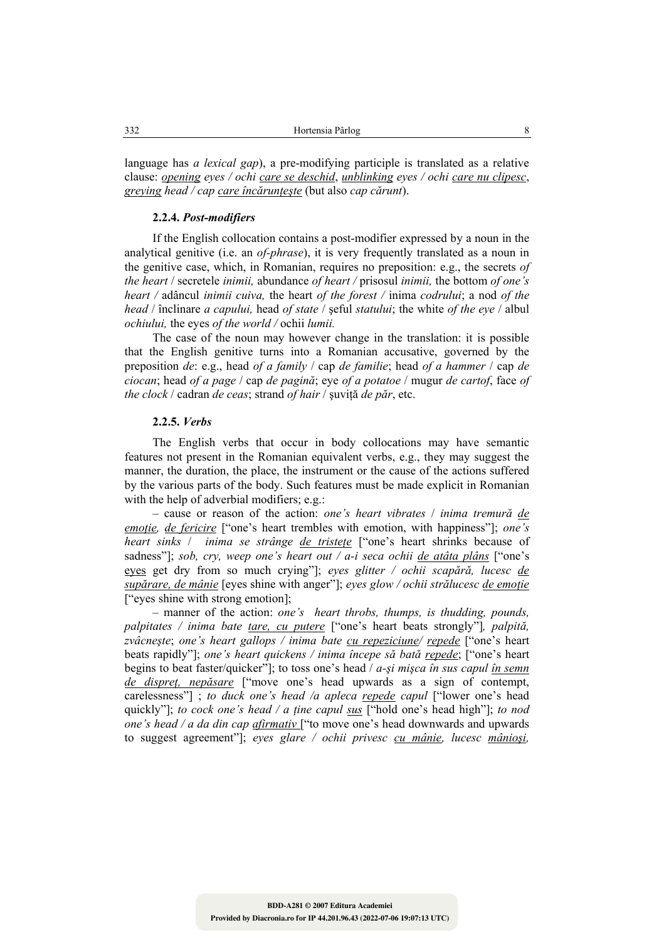language has *a lexical gap*), a pre-modifying participle is translated as a relative clause: *opening eyes / ochi care se deschid*, *unblinking eyes / ochi care nu clipesc*, *greying head / cap care încărunţeşte* (but also *cap cărunt*).

### **2.2.4.** *Post-modifiers*

If the English collocation contains a post-modifier expressed by a noun in the analytical genitive (i.e. an *of-phrase*), it is very frequently translated as a noun in the genitive case, which, in Romanian, requires no preposition: e.g., the secrets *of the heart* / secretele *inimii,* abundance *of heart /* prisosul *inimii,* the bottom *of one's heart /* adâncul *inimii cuiva,* the heart *of the forest /* inima *codrului*; a nod *of the head* / înclinare *a capului,* head *of state* / şeful *statului*; the white *of the eye* / albul *ochiului,* the eyes *of the world /* ochii *lumii.*

The case of the noun may however change in the translation: it is possible that the English genitive turns into a Romanian accusative, governed by the preposition *de*: e.g., head *of a family* / cap *de familie*; head *of a hammer* / cap *de ciocan*; head *of a page* / cap *de pagină*; eye *of a potatoe* / mugur *de cartof*, face *of the clock* / cadran *de ceas*; strand *of hair* / şuviţă *de păr*, etc.

#### **2.2.5.** *Verbs*

The English verbs that occur in body collocations may have semantic features not present in the Romanian equivalent verbs, e.g., they may suggest the manner, the duration, the place, the instrument or the cause of the actions suffered by the various parts of the body. Such features must be made explicit in Romanian with the help of adverbial modifiers; e.g.:

 – cause or reason of the action: *one's heart vibrates* / *inima tremură de emotie, de fericire* ["one's heart trembles with emotion, with happiness"]; *one's heart sinks* / *inima se strânge de tristeţe* ["one's heart shrinks because of sadness"]; *sob, cry, weep one's heart out / a-i seca ochii de atâta plâns* ["one's eyes get dry from so much crying"]; *eyes glitter / ochii scapără, lucesc de supărare, de mânie* [eyes shine with anger"]; *eyes glow / ochii strălucesc de emoţie* ["eyes shine with strong emotion];

 – manner of the action: *one's heart throbs, thumps, is thudding, pounds, palpitates / inima bate tare, cu putere* ["one's heart beats strongly"]*, palpită, zvâcneşte*; *one's heart gallops / inima bate cu repeziciune/ repede* ["one's heart beats rapidly"]; *one's heart quickens / inima începe să bată repede*; ["one's heart begins to beat faster/quicker"]; to toss one's head / *a-şi mişca în sus capul în semn de dispreţ, nepăsare* ["move one's head upwards as a sign of contempt, carelessness"] ; *to duck one's head /a apleca repede capul* ["lower one's head quickly"]; *to cock one's head / a ţine capul sus* ["hold one's head high"]; *to nod one's head / a da din cap afirmativ* ["to move one's head downwards and upwards to suggest agreement"]; *eyes glare / ochii privesc cu mânie, lucesc mânioşi,*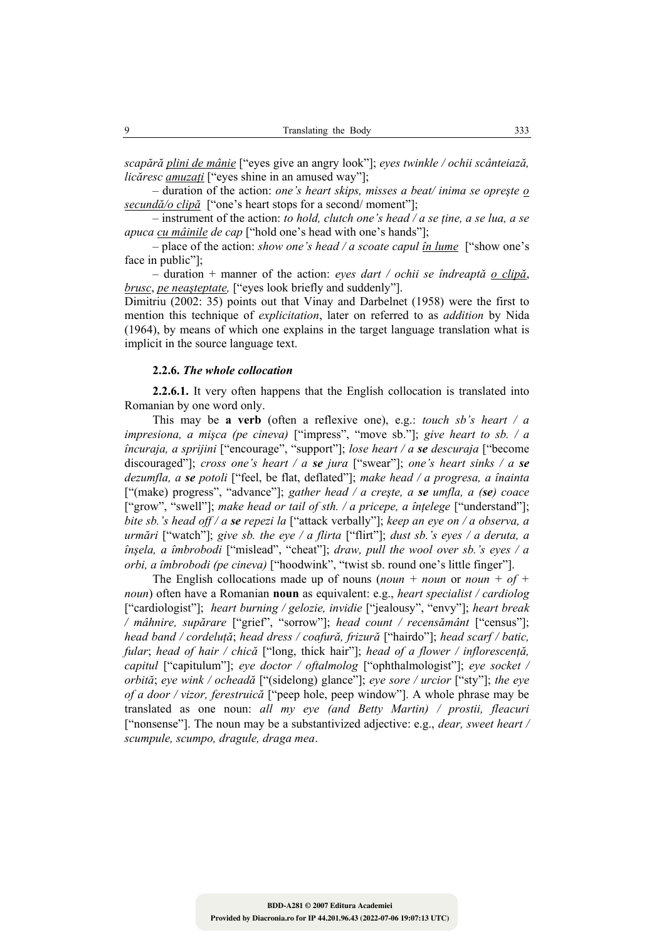*scapără plini de mânie* ["eyes give an angry look"]; *eyes twinkle / ochii scânteiază, licăresc amuzaţi* ["eyes shine in an amused way"];

 – duration of the action: *one's heart skips, misses a beat/ inima se opreşte o secundă/o clipă* ["one's heart stops for a second/ moment"];

 – instrument of the action: *to hold, clutch one's head / a se ţine, a se lua, a se apuca cu mâinile de cap* ["hold one's head with one's hands"];

 – place of the action: *show one's head / a scoate capul în lume* ["show one's face in public"];

 – duration + manner of the action: *eyes dart / ochii se îndreaptă o clipă*, *brusc*, *pe neaşteptate,* ["eyes look briefly and suddenly"].

Dimitriu (2002: 35) points out that Vinay and Darbelnet (1958) were the first to mention this technique of *explicitation*, later on referred to as *addition* by Nida (1964), by means of which one explains in the target language translation what is implicit in the source language text.

#### **2.2.6.** *The whole collocation*

**2.2.6.1.** It very often happens that the English collocation is translated into Romanian by one word only.

This may be **a verb** (often a reflexive one), e.g.: *touch sb's heart / a impresiona, a mişca (pe cineva)* ["impress", "move sb."]; *give heart to sb. / a încuraja, a sprijini* ["encourage", "support"]; *lose heart / a se descuraja* ["become discouraged"]; *cross one's heart / a se jura* ["swear"]; *one's heart sinks / a se dezumfla, a se potoli* ["feel, be flat, deflated"]; *make head / a progresa, a înainta* ["(make) progress", "advance"]; *gather head / a creşte, a se umfla, a (se) coace* ["grow", "swell"]; *make head or tail of sth. / a pricepe, a înţelege* ["understand"]; *bite sb.'s head off / a se repezi la* ["attack verbally"]; *keep an eye on / a observa, a urmări* ["watch"]; *give sb. the eye / a flirta* ["flirt"]; *dust sb.'s eyes / a deruta, a înşela, a îmbrobodi* ["mislead", "cheat"]; *draw, pull the wool over sb.'s eyes / a orbi, a îmbrobodi (pe cineva)* ["hoodwink", "twist sb. round one's little finger"].

The English collocations made up of nouns (*noun + noun* or *noun + of + noun*) often have a Romanian **noun** as equivalent: e.g., *heart specialist / cardiolog* ["cardiologist"]; *heart burning / gelozie, invidie* ["jealousy", "envy"]; *heart break / mâhnire, supărare* ["grief", "sorrow"]; *head count / recensământ* ["census"]; *head band / cordeluţă*; *head dress / coafură, frizură* ["hairdo"]; *head scarf / batic, fular*; *head of hair / chică* ["long, thick hair"]; *head of a flower / inflorescenţă, capitul* ["capitulum"]; *eye doctor / oftalmolog* ["ophthalmologist"]; *eye socket / orbită*; *eye wink / ocheadă* ["(sidelong) glance"]; *eye sore / urcior* ["sty"]; *the eye of a door / vizor, ferestruică* ["peep hole, peep window"]. A whole phrase may be translated as one noun: *all my eye (and Betty Martin) / prostii, fleacuri* ["nonsense"]. The noun may be a substantivized adjective: e.g., *dear, sweet heart / scumpule, scumpo, dragule, draga mea*.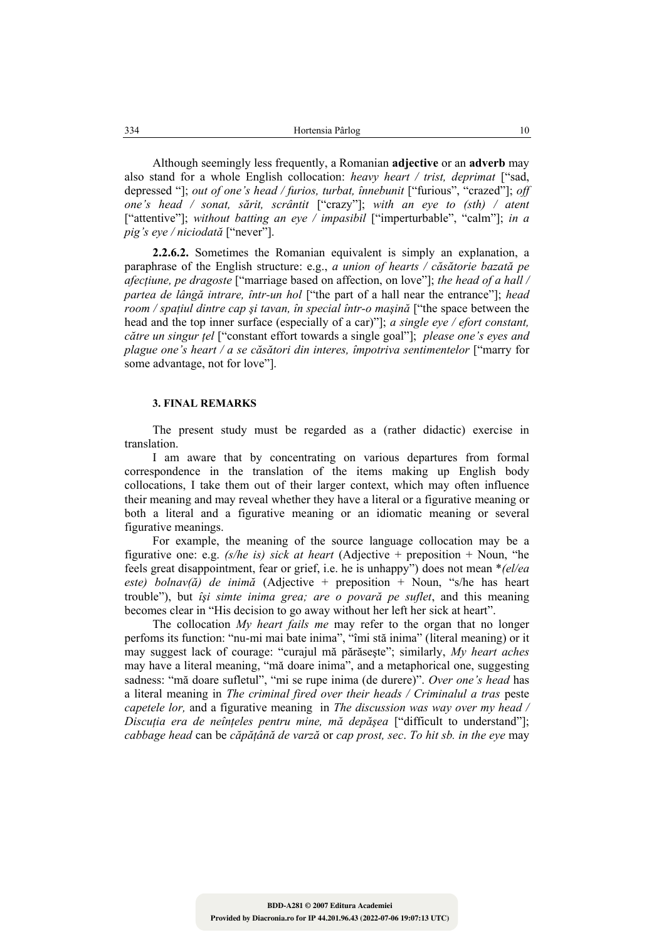Although seemingly less frequently, a Romanian **adjective** or an **adverb** may also stand for a whole English collocation: *heavy heart / trist, deprimat* ["sad, depressed "]; *out of one's head / furios, turbat, înnebunit* ["furious", "crazed"]; *off one's head / sonat, sărit, scrântit* ["crazy"]; *with an eye to (sth) / atent* ["attentive"]; *without batting an eye / impasibil* ["imperturbable", "calm"]; *in a pig's eye / niciodată* ["never"].

**2.2.6.2.** Sometimes the Romanian equivalent is simply an explanation, a paraphrase of the English structure: e.g., *a union of hearts / căsătorie bazată pe afecţiune, pe dragoste* ["marriage based on affection, on love"]; *the head of a hall / partea de lângă intrare, într-un hol* ["the part of a hall near the entrance"]; *head room / spaţiul dintre cap şi tavan, în special într-o maşină* ["the space between the head and the top inner surface (especially of a car)"]; *a single eye / efort constant, către un singur ţel* ["constant effort towards a single goal"]; *please one's eyes and plague one's heart / a se căsători din interes, împotriva sentimentelor* ["marry for some advantage, not for love"].

#### **3. FINAL REMARKS**

The present study must be regarded as a (rather didactic) exercise in translation.

I am aware that by concentrating on various departures from formal correspondence in the translation of the items making up English body collocations, I take them out of their larger context, which may often influence their meaning and may reveal whether they have a literal or a figurative meaning or both a literal and a figurative meaning or an idiomatic meaning or several figurative meanings.

For example, the meaning of the source language collocation may be a figurative one: e.g. *(s/he is) sick at heart* (Adjective + preposition + Noun, "he feels great disappointment, fear or grief, i.e. he is unhappy") does not mean \**(el/ea este) bolnav(ă) de inimă* (Adjective + preposition + Noun, "s/he has heart trouble"), but *îşi simte inima grea; are o povară pe suflet*, and this meaning becomes clear in "His decision to go away without her left her sick at heart".

The collocation *My heart fails me* may refer to the organ that no longer perfoms its function: "nu-mi mai bate inima", "îmi stă inima" (literal meaning) or it may suggest lack of courage: "curajul mă părăseşte"; similarly, *My heart aches*  may have a literal meaning, "mă doare inima", and a metaphorical one, suggesting sadness: "mă doare sufletul", "mi se rupe inima (de durere)". *Over one's head* has a literal meaning in *The criminal fired over their heads / Criminalul a tras* peste *capetele lor,* and a figurative meaning in *The discussion was way over my head / Discuţia era de neînţeles pentru mine, mă depăşea* ["difficult to understand"]; *cabbage head* can be *căpăţână de varză* or *cap prost, sec*. *To hit sb. in the eye* may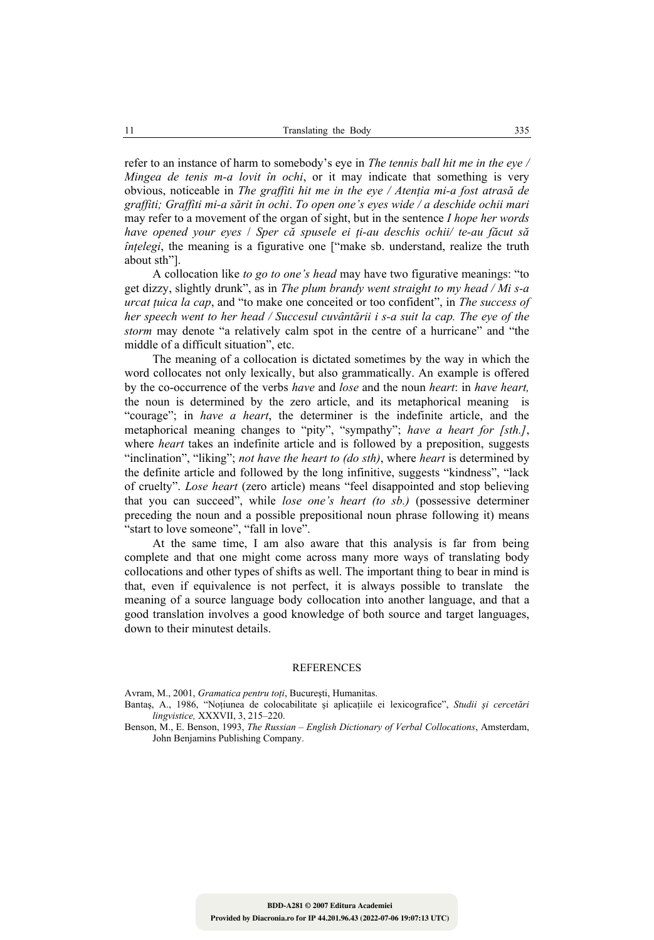refer to an instance of harm to somebody's eye in *The tennis ball hit me in the eye / Mingea de tenis m-a lovit în ochi*, or it may indicate that something is very obvious, noticeable in *The graffiti hit me in the eye / Atenţia mi-a fost atrasă de graffiti; Graffiti mi-a sărit în ochi*. *To open one's eyes wide / a deschide ochii mari* may refer to a movement of the organ of sight, but in the sentence *I hope her words have opened your eyes* / *Sper că spusele ei ţi-au deschis ochii/ te-au făcut să înţelegi*, the meaning is a figurative one ["make sb. understand, realize the truth about sth"].

A collocation like *to go to one's head* may have two figurative meanings: "to get dizzy, slightly drunk", as in *The plum brandy went straight to my head / Mi s-a urcat ţuica la cap*, and "to make one conceited or too confident", in *The success of her speech went to her head / Succesul cuvântării i s-a suit la cap. The eye of the storm* may denote "a relatively calm spot in the centre of a hurricane" and "the middle of a difficult situation", etc.

The meaning of a collocation is dictated sometimes by the way in which the word collocates not only lexically, but also grammatically. An example is offered by the co-occurrence of the verbs *have* and *lose* and the noun *heart*: in *have heart,* the noun is determined by the zero article, and its metaphorical meaning is "courage"; in *have a heart*, the determiner is the indefinite article, and the metaphorical meaning changes to "pity", "sympathy"; *have a heart for [sth.]*, where *heart* takes an indefinite article and is followed by a preposition, suggests "inclination", "liking"; *not have the heart to (do sth)*, where *heart* is determined by the definite article and followed by the long infinitive, suggests "kindness", "lack of cruelty". *Lose heart* (zero article) means "feel disappointed and stop believing that you can succeed", while *lose one's heart (to sb.)* (possessive determiner preceding the noun and a possible prepositional noun phrase following it) means "start to love someone", "fall in love".

At the same time, I am also aware that this analysis is far from being complete and that one might come across many more ways of translating body collocations and other types of shifts as well. The important thing to bear in mind is that, even if equivalence is not perfect, it is always possible to translate the meaning of a source language body collocation into another language, and that a good translation involves a good knowledge of both source and target languages, down to their minutest details.

#### **REFERENCES**

Avram, M., 2001, *Gramatica pentru toţi*, Bucureşti, Humanitas.

Bantaş, A., 1986, "Noţiunea de colocabilitate şi aplicaţiile ei lexicografice", *Studii şi cercetări lingvistice,* XXXVII, 3, 215–220.

Benson, M., E. Benson, 1993, *The Russian – English Dictionary of Verbal Collocations*, Amsterdam, John Benjamins Publishing Company.